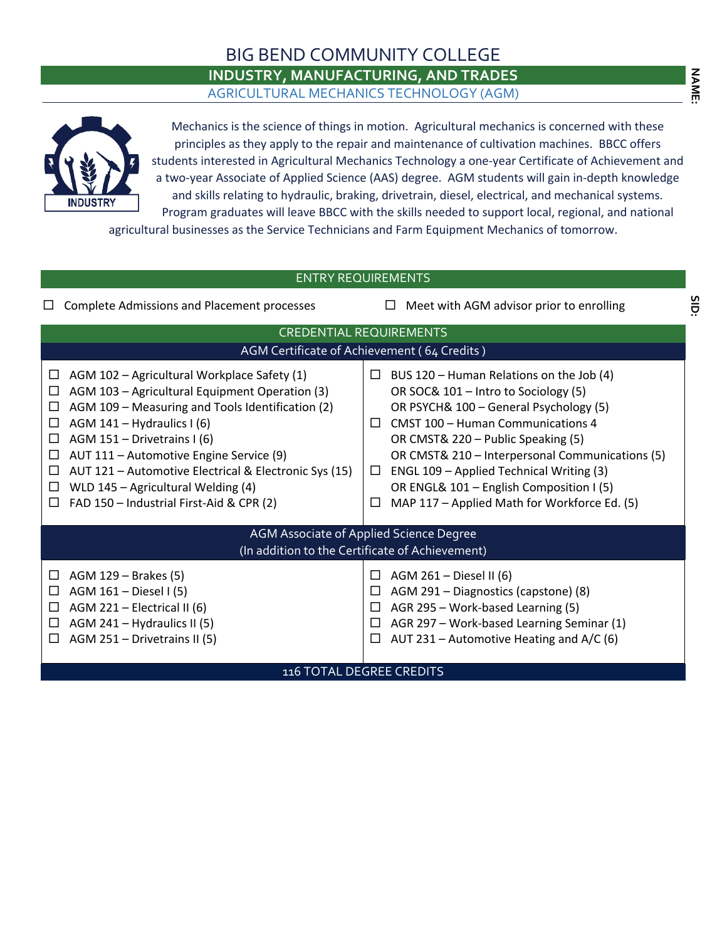## BIG BEND COMMUNITY COLLEGE

## **INDUSTRY, MANUFACTURING, AND TRADES**

AGRICULTURAL MECHANICS TECHNOLOGY (AGM)



Mechanics is the science of things in motion. Agricultural mechanics is concerned with these principles as they apply to the repair and maintenance of cultivation machines. BBCC offers students interested in Agricultural Mechanics Technology a one-year Certificate of Achievement and a two-year Associate of Applied Science (AAS) degree. AGM students will gain in-depth knowledge and skills relating to hydraulic, braking, drivetrain, diesel, electrical, and mechanical systems. Program graduates will leave BBCC with the skills needed to support local, regional, and national

agricultural businesses as the Service Technicians and Farm Equipment Mechanics of tomorrow.

## **NAME: SID:**ENTRY REQUIREMENTS SID  $\square$  Complete Admissions and Placement processes  $\square$  Meet with AGM advisor prior to enrolling CREDENTIAL REQUIREMENTS AGM Certificate of Achievement ( 64 Credits )  $\Box$  AGM 102 – Agricultural Workplace Safety (1)  $\Box$  BUS 120 – Human Relations on the Job (4)  $\Box$  AGM 103 – Agricultural Equipment Operation (3) OR SOC& 101 – Intro to Sociology (5)  $\Box$  AGM 109 – Measuring and Tools Identification (2) OR PSYCH& 100 – General Psychology (5)  $\Box$  AGM 141 – Hydraulics I (6)  $\Box$  CMST 100 – Human Communications 4  $\Box$  AGM 151 – Drivetrains I (6) OR CMST& 220 – Public Speaking (5)  $\Box$  AUT 111 – Automotive Engine Service (9) OR CMST& 210 – Interpersonal Communications (5)  $\Box$  AUT 121 – Automotive Electrical & Electronic Sys (15)  $\Box$  ENGL 109 – Applied Technical Writing (3) OR ENGL& 101 – English Composition I (5)  $\Box$  WLD 145 – Agricultural Welding (4)  $\Box$  FAD 150 – Industrial First-Aid & CPR (2)  $\Box$  MAP 117 – Applied Math for Workforce Ed. (5) AGM Associate of Applied Science Degree (In addition to the Certificate of Achievement)  $\Box$  AGM 261 – Diesel II (6)  $\Box$  AGM 129 – Brakes (5)  $\Box$  AGM 161 – Diesel I (5)  $\Box$  AGM 291 – Diagnostics (capstone) (8)  $\Box$  AGM 221 – Electrical II (6)  $\Box$  AGR 295 – Work-based Learning (5)  $\Box$  AGM 241 – Hydraulics II (5)  $\Box$  AGR 297 – Work-based Learning Seminar (1)  $\Box$  AGM 251 – Drivetrains II (5)  $\Box$  AUT 231 – Automotive Heating and A/C (6) 116 TOTAL DEGREE CREDITS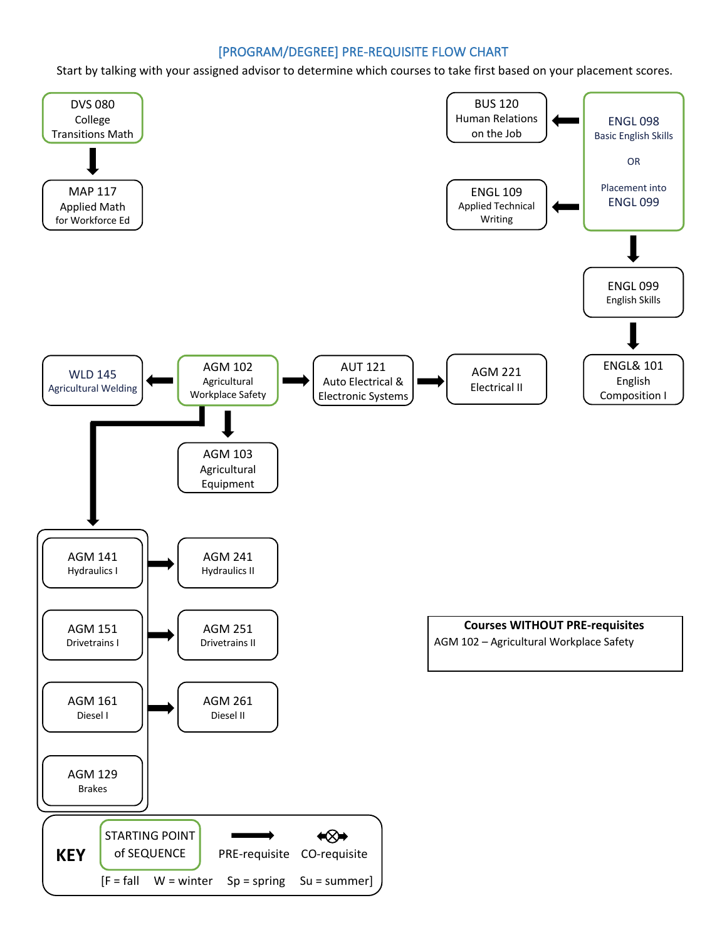## [PROGRAM/DEGREE] PRE-REQUISITE FLOW CHART

Start by talking with your assigned advisor to determine which courses to take first based on your placement scores.